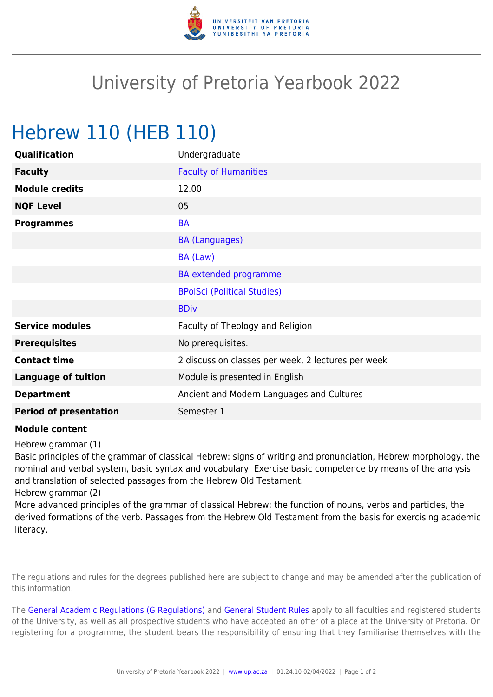

## University of Pretoria Yearbook 2022

## Hebrew 110 (HEB 110)

| Qualification                 | Undergraduate                                      |
|-------------------------------|----------------------------------------------------|
| <b>Faculty</b>                | <b>Faculty of Humanities</b>                       |
| <b>Module credits</b>         | 12.00                                              |
| <b>NQF Level</b>              | 05                                                 |
| <b>Programmes</b>             | <b>BA</b>                                          |
|                               | <b>BA (Languages)</b>                              |
|                               | BA (Law)                                           |
|                               | BA extended programme                              |
|                               | <b>BPolSci (Political Studies)</b>                 |
|                               | <b>BDiv</b>                                        |
| <b>Service modules</b>        | Faculty of Theology and Religion                   |
| <b>Prerequisites</b>          | No prerequisites.                                  |
| <b>Contact time</b>           | 2 discussion classes per week, 2 lectures per week |
| <b>Language of tuition</b>    | Module is presented in English                     |
| <b>Department</b>             | Ancient and Modern Languages and Cultures          |
| <b>Period of presentation</b> | Semester 1                                         |

## **Module content**

Hebrew grammar (1)

Basic principles of the grammar of classical Hebrew: signs of writing and pronunciation, Hebrew morphology, the nominal and verbal system, basic syntax and vocabulary. Exercise basic competence by means of the analysis and translation of selected passages from the Hebrew Old Testament.

Hebrew grammar (2)

More advanced principles of the grammar of classical Hebrew: the function of nouns, verbs and particles, the derived formations of the verb. Passages from the Hebrew Old Testament from the basis for exercising academic literacy.

The regulations and rules for the degrees published here are subject to change and may be amended after the publication of this information.

The [General Academic Regulations \(G Regulations\)](https://www.up.ac.za/yearbooks/2022/rules/view/REG) and [General Student Rules](https://www.up.ac.za/yearbooks/2022/rules/view/RUL) apply to all faculties and registered students of the University, as well as all prospective students who have accepted an offer of a place at the University of Pretoria. On registering for a programme, the student bears the responsibility of ensuring that they familiarise themselves with the